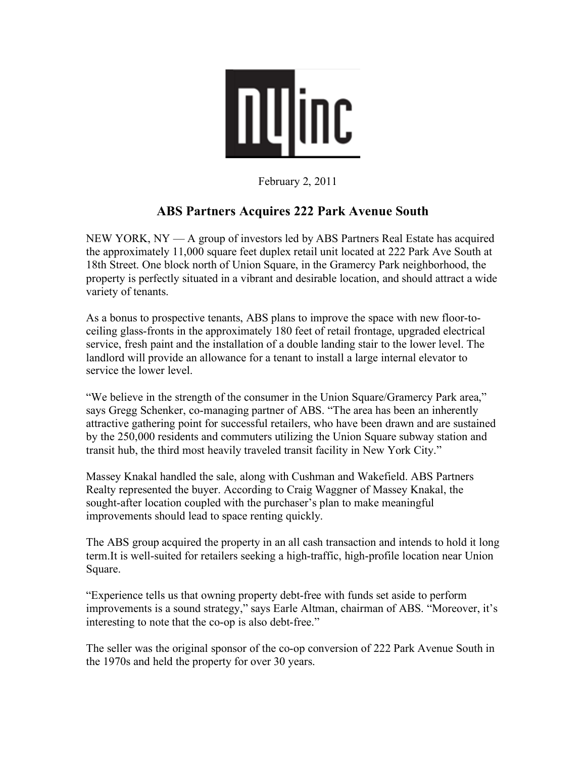

February 2, 2011

## **ABS Partners Acquires 222 Park Avenue South**

NEW YORK, NY — A group of investors led by ABS Partners Real Estate has acquired the approximately 11,000 square feet duplex retail unit located at 222 Park Ave South at 18th Street. One block north of Union Square, in the Gramercy Park neighborhood, the property is perfectly situated in a vibrant and desirable location, and should attract a wide variety of tenants.

As a bonus to prospective tenants, ABS plans to improve the space with new floor-toceiling glass-fronts in the approximately 180 feet of retail frontage, upgraded electrical service, fresh paint and the installation of a double landing stair to the lower level. The landlord will provide an allowance for a tenant to install a large internal elevator to service the lower level.

"We believe in the strength of the consumer in the Union Square/Gramercy Park area," says Gregg Schenker, co-managing partner of ABS. "The area has been an inherently attractive gathering point for successful retailers, who have been drawn and are sustained by the 250,000 residents and commuters utilizing the Union Square subway station and transit hub, the third most heavily traveled transit facility in New York City."

Massey Knakal handled the sale, along with Cushman and Wakefield. ABS Partners Realty represented the buyer. According to Craig Waggner of Massey Knakal, the sought-after location coupled with the purchaser's plan to make meaningful improvements should lead to space renting quickly.

The ABS group acquired the property in an all cash transaction and intends to hold it long term.It is well-suited for retailers seeking a high-traffic, high-profile location near Union Square.

"Experience tells us that owning property debt-free with funds set aside to perform improvements is a sound strategy," says Earle Altman, chairman of ABS. "Moreover, it's interesting to note that the co-op is also debt-free."

The seller was the original sponsor of the co-op conversion of 222 Park Avenue South in the 1970s and held the property for over 30 years.